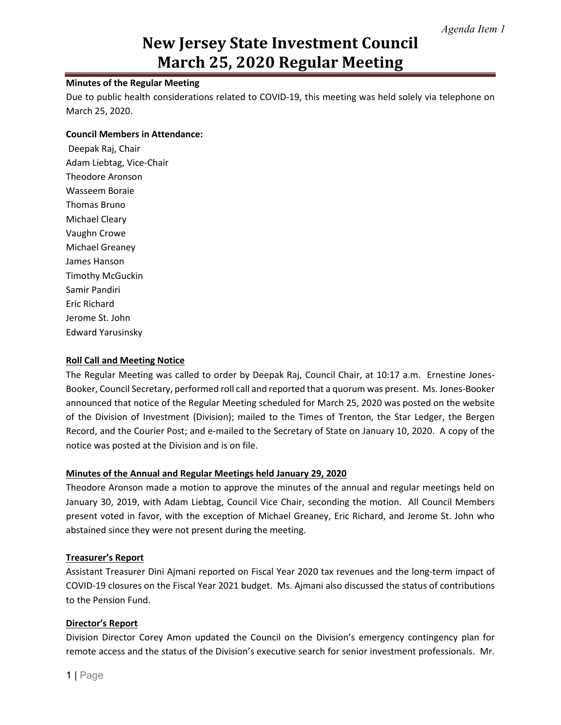# **New Jersey State Investment Council March 25, 2020 Regular Meeting**

# **Minutes of the Regular Meeting**

Due to public health considerations related to COVID-19, this meeting was held solely via telephone on March 25, 2020.

#### **Council Members in Attendance:**

Deepak Raj, Chair Adam Liebtag, Vice-Chair Theodore Aronson Wasseem Boraie Thomas Bruno Michael Cleary Vaughn Crowe Michael Greaney James Hanson Timothy McGuckin Samir Pandiri Eric Richard Jerome St. John Edward Yarusinsky

## **Roll Call and Meeting Notice**

The Regular Meeting was called to order by Deepak Raj, Council Chair, at 10:17 a.m. Ernestine Jones-Booker, Council Secretary, performed roll call and reported that a quorum was present. Ms. Jones-Booker announced that notice of the Regular Meeting scheduled for March 25, 2020 was posted on the website of the Division of Investment (Division); mailed to the Times of Trenton, the Star Ledger, the Bergen Record, and the Courier Post; and e-mailed to the Secretary of State on January 10, 2020. A copy of the notice was posted at the Division and is on file.

## **Minutes of the Annual and Regular Meetings held January 29, 2020**

Theodore Aronson made a motion to approve the minutes of the annual and regular meetings held on January 30, 2019, with Adam Liebtag, Council Vice Chair, seconding the motion. All Council Members present voted in favor, with the exception of Michael Greaney, Eric Richard, and Jerome St. John who abstained since they were not present during the meeting.

#### **Treasurer's Report**

Assistant Treasurer Dini Ajmani reported on Fiscal Year 2020 tax revenues and the long-term impact of COVID-19 closures on the Fiscal Year 2021 budget. Ms. Ajmani also discussed the status of contributions to the Pension Fund.

#### **Director's Report**

Division Director Corey Amon updated the Council on the Division's emergency contingency plan for remote access and the status of the Division's executive search for senior investment professionals. Mr.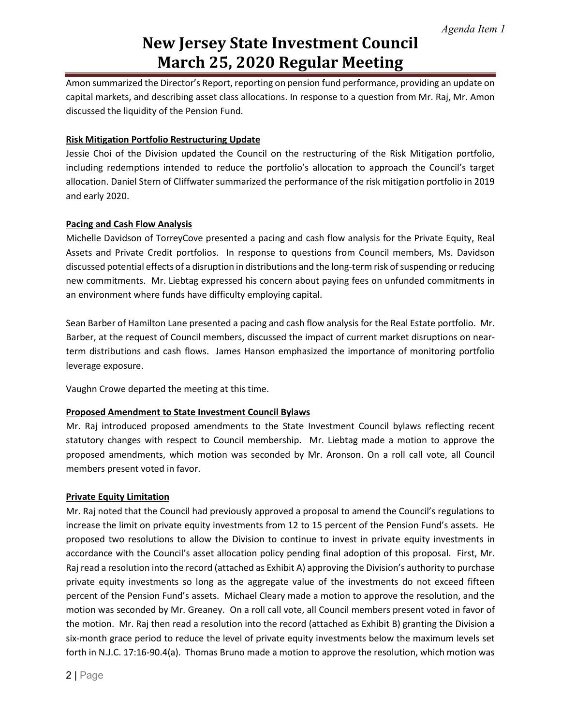# **New Jersey State Investment Council March 25, 2020 Regular Meeting**

Amon summarized the Director's Report, reporting on pension fund performance, providing an update on capital markets, and describing asset class allocations. In response to a question from Mr. Raj, Mr. Amon discussed the liquidity of the Pension Fund.

## **Risk Mitigation Portfolio Restructuring Update**

Jessie Choi of the Division updated the Council on the restructuring of the Risk Mitigation portfolio, including redemptions intended to reduce the portfolio's allocation to approach the Council's target allocation. Daniel Stern of Cliffwater summarized the performance of the risk mitigation portfolio in 2019 and early 2020.

### **Pacing and Cash Flow Analysis**

Michelle Davidson of TorreyCove presented a pacing and cash flow analysis for the Private Equity, Real Assets and Private Credit portfolios. In response to questions from Council members, Ms. Davidson discussed potential effects of a disruption in distributions and the long-term risk of suspending or reducing new commitments. Mr. Liebtag expressed his concern about paying fees on unfunded commitments in an environment where funds have difficulty employing capital.

Sean Barber of Hamilton Lane presented a pacing and cash flow analysis for the Real Estate portfolio. Mr. Barber, at the request of Council members, discussed the impact of current market disruptions on nearterm distributions and cash flows. James Hanson emphasized the importance of monitoring portfolio leverage exposure.

Vaughn Crowe departed the meeting at this time.

#### **Proposed Amendment to State Investment Council Bylaws**

Mr. Raj introduced proposed amendments to the State Investment Council bylaws reflecting recent statutory changes with respect to Council membership. Mr. Liebtag made a motion to approve the proposed amendments, which motion was seconded by Mr. Aronson. On a roll call vote, all Council members present voted in favor.

#### **Private Equity Limitation**

Mr. Raj noted that the Council had previously approved a proposal to amend the Council's regulations to increase the limit on private equity investments from 12 to 15 percent of the Pension Fund's assets. He proposed two resolutions to allow the Division to continue to invest in private equity investments in accordance with the Council's asset allocation policy pending final adoption of this proposal. First, Mr. Raj read a resolution into the record (attached as Exhibit A) approving the Division's authority to purchase private equity investments so long as the aggregate value of the investments do not exceed fifteen percent of the Pension Fund's assets. Michael Cleary made a motion to approve the resolution, and the motion was seconded by Mr. Greaney. On a roll call vote, all Council members present voted in favor of the motion. Mr. Raj then read a resolution into the record (attached as Exhibit B) granting the Division a six-month grace period to reduce the level of private equity investments below the maximum levels set forth in N.J.C. 17:16-90.4(a). Thomas Bruno made a motion to approve the resolution, which motion was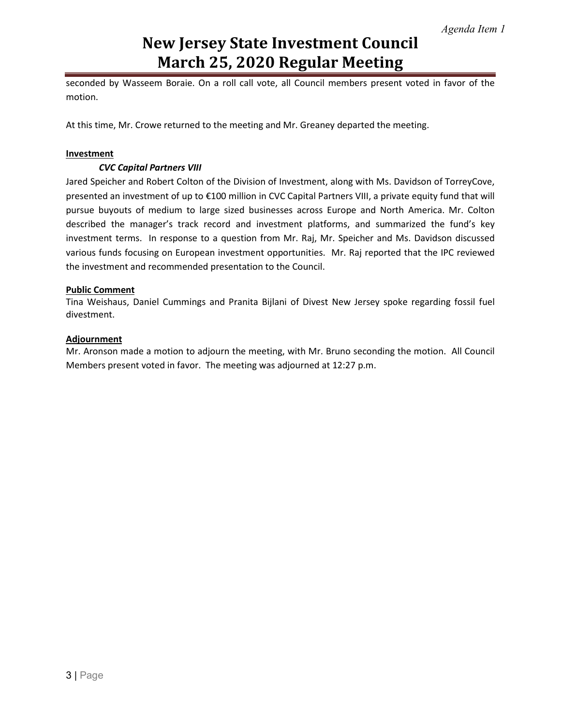# **New Jersey State Investment Council March 25, 2020 Regular Meeting**

seconded by Wasseem Boraie. On a roll call vote, all Council members present voted in favor of the motion.

At this time, Mr. Crowe returned to the meeting and Mr. Greaney departed the meeting.

#### **Investment**

### *CVC Capital Partners VIII*

Jared Speicher and Robert Colton of the Division of Investment, along with Ms. Davidson of TorreyCove, presented an investment of up to €100 million in CVC Capital Partners VIII, a private equity fund that will pursue buyouts of medium to large sized businesses across Europe and North America. Mr. Colton described the manager's track record and investment platforms, and summarized the fund's key investment terms. In response to a question from Mr. Raj, Mr. Speicher and Ms. Davidson discussed various funds focusing on European investment opportunities. Mr. Raj reported that the IPC reviewed the investment and recommended presentation to the Council.

### **Public Comment**

Tina Weishaus, Daniel Cummings and Pranita Bijlani of Divest New Jersey spoke regarding fossil fuel divestment.

#### **Adjournment**

Mr. Aronson made a motion to adjourn the meeting, with Mr. Bruno seconding the motion. All Council Members present voted in favor. The meeting was adjourned at 12:27 p.m.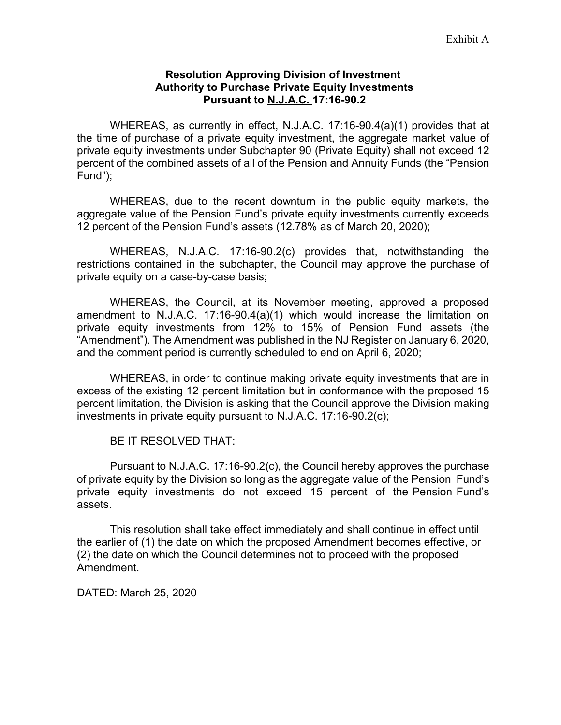# **Resolution Approving Division of Investment Authority to Purchase Private Equity Investments Pursuant to N.J.A.C. 17:16-90.2**

WHEREAS, as currently in effect, N.J.A.C. 17:16-90.4(a)(1) provides that at the time of purchase of a private equity investment, the aggregate market value of private equity investments under Subchapter 90 (Private Equity) shall not exceed 12 percent of the combined assets of all of the Pension and Annuity Funds (the "Pension Fund");

WHEREAS, due to the recent downturn in the public equity markets, the aggregate value of the Pension Fund's private equity investments currently exceeds 12 percent of the Pension Fund's assets (12.78% as of March 20, 2020);

WHEREAS, N.J.A.C. 17:16-90.2(c) provides that, notwithstanding the restrictions contained in the subchapter, the Council may approve the purchase of private equity on a case-by-case basis;

WHEREAS, the Council, at its November meeting, approved a proposed amendment to N.J.A.C. 17:16-90.4(a)(1) which would increase the limitation on private equity investments from 12% to 15% of Pension Fund assets (the "Amendment"). The Amendment was published in the NJ Register on January 6, 2020, and the comment period is currently scheduled to end on April 6, 2020;

WHEREAS, in order to continue making private equity investments that are in excess of the existing 12 percent limitation but in conformance with the proposed 15 percent limitation, the Division is asking that the Council approve the Division making investments in private equity pursuant to N.J.A.C. 17:16-90.2(c);

BE IT RESOLVED THAT:

Pursuant to N.J.A.C. 17:16-90.2(c), the Council hereby approves the purchase of private equity by the Division so long as the aggregate value of the Pension Fund's private equity investments do not exceed 15 percent of the Pension Fund's assets.

This resolution shall take effect immediately and shall continue in effect until the earlier of (1) the date on which the proposed Amendment becomes effective, or (2) the date on which the Council determines not to proceed with the proposed Amendment.

DATED: March 25, 2020